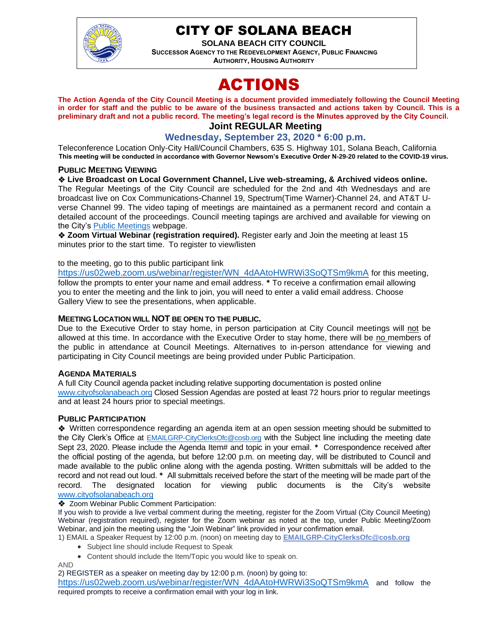

# CITY OF SOLANA BEACH

**SOLANA BEACH CITY COUNCIL SUCCESSOR AGENCY TO THE REDEVELOPMENT AGENCY, PUBLIC FINANCING AUTHORITY, HOUSING AUTHORITY** 

# ACTIONS

**The Action Agenda of the City Council Meeting is a document provided immediately following the Council Meeting in order for staff and the public to be aware of the business transacted and actions taken by Council. This is a preliminary draft and not a public record. The meeting's legal record is the Minutes approved by the City Council. Joint REGULAR Meeting**

# **Wednesday, September 23, 2020 \* 6:00 p.m.**

Teleconference Location Only-City Hall/Council Chambers, 635 S. Highway 101, Solana Beach, California **This meeting will be conducted in accordance with Governor Newsom's Executive Order N-29-20 related to the COVID-19 virus.**

#### **PUBLIC MEETING VIEWING**

#### ❖ **Live Broadcast on Local Government Channel, Live web-streaming, & Archived videos online.**

The Regular Meetings of the City Council are scheduled for the 2nd and 4th Wednesdays and are broadcast live on Cox Communications-Channel 19, Spectrum(Time Warner)-Channel 24, and AT&T Uverse Channel 99. The video taping of meetings are maintained as a permanent record and contain a detailed account of the proceedings. Council meeting tapings are archived and available for viewing on the City's [Public Meetings](https://urldefense.proofpoint.com/v2/url?u=https-3A__www.ci.solana-2Dbeach.ca.us_index.asp-3FSEC-3DF0F1200D-2D21C6-2D4A88-2D8AE1-2D0BC07C1A81A7-26Type-3DB-5FBASIC&d=DwMFAg&c=euGZstcaTDllvimEN8b7jXrwqOf-v5A_CdpgnVfiiMM&r=1XAsCUuqwK_tji2t0s1uIQ&m=wny2RVfZJ2tN24LkqZmkUWNpwL_peNtTZUBlTBZiMM4&s=WwpcEQpHHkFen6nS6q2waMuQ_VMZ-i1YZ60lD-dYRRE&e=) webpage.

❖ **Zoom Virtual Webinar (registration required).** Register early and Join the meeting at least 15 minutes prior to the start time. To register to view/listen

#### to the meeting, go to this public participant link

[https://us02web.zoom.us/webinar/register/WN\\_4dAAtoHWRWi3SoQTSm9kmA](https://us02web.zoom.us/webinar/register/WN_4dAAtoHWRWi3SoQTSm9kmA) for this meeting, follow the prompts to enter your name and email address. **\*** To receive a confirmation email allowing you to enter the meeting and the link to join, you will need to enter a valid email address. Choose Gallery View to see the presentations, when applicable.

#### **MEETING LOCATION WILL NOT BE OPEN TO THE PUBLIC.**

Due to the Executive Order to stay home, in person participation at City Council meetings will not be allowed at this time. In accordance with the Executive Order to stay home, there will be no members of the public in attendance at Council Meetings. Alternatives to in-person attendance for viewing and participating in City Council meetings are being provided under Public Participation.

#### **AGENDA MATERIALS**

A full City Council agenda packet including relative supporting documentation is posted online [www.cityofsolanabeach.org](http://www.cityofsolanabeach.org/) Closed Session Agendas are posted at least 72 hours prior to regular meetings and at least 24 hours prior to special meetings.

#### **PUBLIC PARTICIPATION**

❖Written correspondence regarding an agenda item at an open session meeting should be submitted to the City Clerk's Office at [EMAILGRP-CityClerksOfc@cosb.org](mailto:EMAILGRP-CityClerksOfc@cosb.org) with the Subject line including the meeting date Sept 23, 2020. Please include the Agenda Item# and topic in your email. **\*** Correspondence received after the official posting of the agenda, but before 12:00 p.m. on meeting day, will be distributed to Council and made available to the public online along with the agenda posting. Written submittals will be added to the record and not read out loud. **\*** All submittals received before the start of the meeting will be made part of the record. The designated location for viewing public documents is the City's website [www.cityofsolanabeach.org](http://www.cityofsolanabeach.org/)

#### ❖ Zoom Webinar Public Comment Participation:

If you wish to provide a live verbal comment during the meeting, register for the Zoom Virtual (City Council Meeting) Webinar (registration required), register for the Zoom webinar as noted at the top, under Public Meeting/Zoom Webinar, and join the meeting using the "Join Webinar" link provided in your confirmation email.

1) EMAIL a Speaker Request by 12:00 p.m. (noon) on meeting day to **[EMAILGRP-CityClerksOfc@cosb.org](mailto:EMAILGRP-CityClerksOfc@cosb.org)**

- Subject line should include Request to Speak
- Content should include the Item/Topic you would like to speak on.

AND

2) REGISTER as a speaker on meeting day by 12:00 p.m. (noon) by going to:

[https://us02web.zoom.us/webinar/register/WN\\_4dAAtoHWRWi3SoQTSm9kmA](https://us02web.zoom.us/webinar/register/WN_4dAAtoHWRWi3SoQTSm9kmA) and follow the required prompts to receive a confirmation email with your log in link.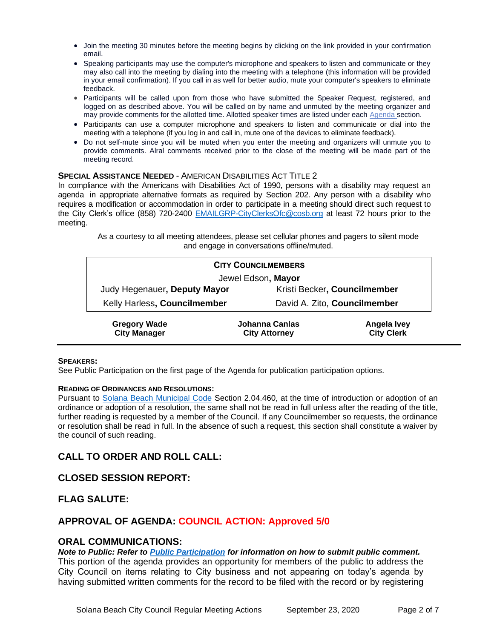- Join the meeting 30 minutes before the meeting begins by clicking on the link provided in your confirmation email.
- Speaking participants may use the computer's microphone and speakers to listen and communicate or they may also call into the meeting by dialing into the meeting with a telephone (this information will be provided in your email confirmation). If you call in as well for better audio, mute your computer's speakers to eliminate feedback.
- Participants will be called upon from those who have submitted the Speaker Request, registered, and logged on as described above. You will be called on by name and unmuted by the meeting organizer and may provide comments for the allotted time. Allotted speaker times are listed under each [Agenda s](https://urldefense.proofpoint.com/v2/url?u=https-3A__www.ci.solana-2Dbeach.ca.us_index.asp-3FSEC-3DF0F1200D-2D21C6-2D4A88-2D8AE1-2D0BC07C1A81A7-26Type-3DB-5FBASIC&d=DwMFaQ&c=euGZstcaTDllvimEN8b7jXrwqOf-v5A_CdpgnVfiiMM&r=1XAsCUuqwK_tji2t0s1uIQ&m=C7WzXfOw2_nkEFMJClT55zZsF4tmIf_7KTn0o1WpYqI&s=3DcsWExM2_nx_xpvFtXslUjphiXd0MDCCF18y_Qy5yU&e=)ection.
- Participants can use a computer microphone and speakers to listen and communicate or dial into the meeting with a telephone (if you log in and call in, mute one of the devices to eliminate feedback).
- Do not self-mute since you will be muted when you enter the meeting and organizers will unmute you to provide comments. Alral comments received prior to the close of the meeting will be made part of the meeting record.

#### **SPECIAL ASSISTANCE NEEDED** - AMERICAN DISABILITIES ACT TITLE 2

In compliance with the Americans with Disabilities Act of 1990, persons with a disability may request an agenda in appropriate alternative formats as required by Section 202. Any person with a disability who requires a modification or accommodation in order to participate in a meeting should direct such request to the City Clerk's office (858) 720-2400 [EMAILGRP-CityClerksOfc@cosb.org](mailto:EMAILGRP-CityClerksOfc@cosb.org) at least 72 hours prior to the meeting.

> As a courtesy to all meeting attendees, please set cellular phones and pagers to silent mode and engage in conversations offline/muted.

| <b>CITY COUNCILMEMBERS</b>   |                |                              |  |
|------------------------------|----------------|------------------------------|--|
| Jewel Edson, Mayor           |                |                              |  |
| Judy Hegenauer, Deputy Mayor |                | Kristi Becker, Councilmember |  |
| Kelly Harless, Councilmember |                | David A. Zito, Councilmember |  |
| <b>Gregory Wade</b>          | Johanna Canlas | Angela Ivey                  |  |

**City Attorney**

#### **SPEAKERS:**

See Public Participation on the first page of the Agenda for publication participation options.

#### **READING OF ORDINANCES AND RESOLUTIONS:**

**City Manager**

Pursuant to [Solana Beach Municipal Code](mailto:https://www.codepublishing.com/CA/SolanaBeach/) Section 2.04.460, at the time of introduction or adoption of an ordinance or adoption of a resolution, the same shall not be read in full unless after the reading of the title, further reading is requested by a member of the Council. If any Councilmember so requests, the ordinance or resolution shall be read in full. In the absence of such a request, this section shall constitute a waiver by the council of such reading.

# **CALL TO ORDER AND ROLL CALL:**

# **CLOSED SESSION REPORT:**

# **FLAG SALUTE:**

# **APPROVAL OF AGENDA: COUNCIL ACTION: Approved 5/0**

#### **ORAL COMMUNICATIONS:**

#### *Note to Public: Refer to Public Participation for information on how to submit public comment.*

This portion of the agenda provides an opportunity for members of the public to address the City Council on items relating to City business and not appearing on today's agenda by having submitted written comments for the record to be filed with the record or by registering

**City Clerk**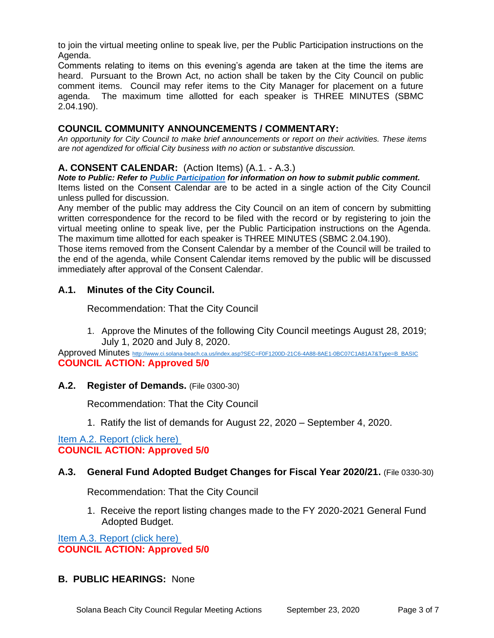to join the virtual meeting online to speak live, per the Public Participation instructions on the Agenda.

Comments relating to items on this evening's agenda are taken at the time the items are heard. Pursuant to the Brown Act, no action shall be taken by the City Council on public comment items. Council may refer items to the City Manager for placement on a future agenda. The maximum time allotted for each speaker is THREE MINUTES (SBMC 2.04.190).

# **COUNCIL COMMUNITY ANNOUNCEMENTS / COMMENTARY:**

*An opportunity for City Council to make brief announcements or report on their activities. These items are not agendized for official City business with no action or substantive discussion.* 

# **A. CONSENT CALENDAR:** (Action Items) (A.1. - A.3.)

*Note to Public: Refer to Public Participation for information on how to submit public comment.*  Items listed on the Consent Calendar are to be acted in a single action of the City Council

unless pulled for discussion.

Any member of the public may address the City Council on an item of concern by submitting written correspondence for the record to be filed with the record or by registering to join the virtual meeting online to speak live, per the Public Participation instructions on the Agenda. The maximum time allotted for each speaker is THREE MINUTES (SBMC 2.04.190).

Those items removed from the Consent Calendar by a member of the Council will be trailed to the end of the agenda, while Consent Calendar items removed by the public will be discussed immediately after approval of the Consent Calendar.

# **A.1. Minutes of the City Council.**

Recommendation: That the City Council

1. Approve the Minutes of the following City Council meetings August 28, 2019; July 1, 2020 and July 8, 2020.

Approved Minutes [http://www.ci.solana-beach.ca.us/index.asp?SEC=F0F1200D-21C6-4A88-8AE1-0BC07C1A81A7&Type=B\\_BASIC](http://www.ci.solana-beach.ca.us/index.asp?SEC=F0F1200D-21C6-4A88-8AE1-0BC07C1A81A7&Type=B_BASIC) **COUNCIL ACTION: Approved 5/0**

# **A.2. Register of Demands.** (File 0300-30)

Recommendation: That the City Council

1. Ratify the list of demands for August 22, 2020 – September 4, 2020.

[Item A.2. Report \(click here\)](https://solanabeach.govoffice3.com/vertical/Sites/%7B840804C2-F869-4904-9AE3-720581350CE7%7D/uploads/Item_A.2._Report_(click_here)_09-23-20_O.pdf)  **COUNCIL ACTION: Approved 5/0**

# **A.3. General Fund Adopted Budget Changes for Fiscal Year 2020/21.** (File 0330-30)

Recommendation: That the City Council

1. Receive the report listing changes made to the FY 2020-2021 General Fund Adopted Budget.

[Item A.3. Report \(click here\)](https://solanabeach.govoffice3.com/vertical/Sites/%7B840804C2-F869-4904-9AE3-720581350CE7%7D/uploads/Item_A.3._Report_(click_here)_09-23-20_O.pdf)  **COUNCIL ACTION: Approved 5/0**

# **B. PUBLIC HEARINGS:** None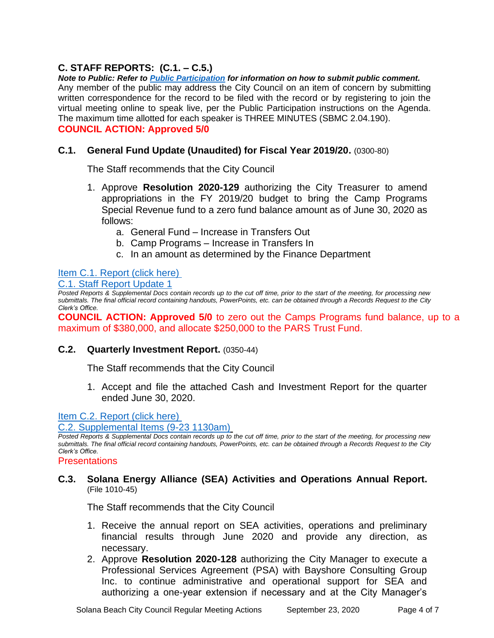# **C. STAFF REPORTS: (C.1. – C.5.)**

*Note to Public: Refer to Public Participation for information on how to submit public comment.*  Any member of the public may address the City Council on an item of concern by submitting written correspondence for the record to be filed with the record or by registering to join the virtual meeting online to speak live, per the Public Participation instructions on the Agenda. The maximum time allotted for each speaker is THREE MINUTES (SBMC 2.04.190). **COUNCIL ACTION: Approved 5/0**

# **C.1. General Fund Update (Unaudited) for Fiscal Year 2019/20.** (0300-80)

The Staff recommends that the City Council

- 1. Approve **Resolution 2020-129** authorizing the City Treasurer to amend appropriations in the FY 2019/20 budget to bring the Camp Programs Special Revenue fund to a zero fund balance amount as of June 30, 2020 as follows:
	- a. General Fund Increase in Transfers Out
	- b. Camp Programs Increase in Transfers In
	- c. In an amount as determined by the Finance Department

# [Item C.1. Report \(click here\)](https://solanabeach.govoffice3.com/vertical/Sites/%7B840804C2-F869-4904-9AE3-720581350CE7%7D/uploads/Item_C.1._Report_(click_here)_09-23-20_O.pdf)

[C.1. Staff Report Update 1](https://solanabeach.govoffice3.com/vertical/Sites/%7B840804C2-F869-4904-9AE3-720581350CE7%7D/uploads/C.1._Staff_Report_Update_1_(09-23-20).pdf)

*Posted Reports & Supplemental Docs contain records up to the cut off time, prior to the start of the meeting, for processing new submittals. The final official record containing handouts, PowerPoints, etc. can be obtained through a Records Request to the City Clerk's Office.*

**COUNCIL ACTION: Approved 5/0** to zero out the Camps Programs fund balance, up to a maximum of \$380,000, and allocate \$250,000 to the PARS Trust Fund.

# **C.2. Quarterly Investment Report.** (0350-44)

The Staff recommends that the City Council

1. Accept and file the attached Cash and Investment Report for the quarter ended June 30, 2020.

[Item C.2. Report \(click here\)](https://solanabeach.govoffice3.com/vertical/Sites/%7B840804C2-F869-4904-9AE3-720581350CE7%7D/uploads/Item_C.2._Report_(click_here)_09-23-20_O.pdf) 

[C.2. Supplemental Items \(9-23 1130am\)](https://solanabeach.govoffice3.com/vertical/Sites/%7B840804C2-F869-4904-9AE3-720581350CE7%7D/uploads/C.2._-_Supplemental_Items_(9-23-20_1130am)_-_O.pdf)

*Posted Reports & Supplemental Docs contain records up to the cut off time, prior to the start of the meeting, for processing new submittals. The final official record containing handouts, PowerPoints, etc. can be obtained through a Records Request to the City Clerk's Office.*

**Presentations** 

#### **C.3. Solana Energy Alliance (SEA) Activities and Operations Annual Report.** (File 1010-45)

The Staff recommends that the City Council

- 1. Receive the annual report on SEA activities, operations and preliminary financial results through June 2020 and provide any direction, as necessary.
- 2. Approve **Resolution 2020-128** authorizing the City Manager to execute a Professional Services Agreement (PSA) with Bayshore Consulting Group Inc. to continue administrative and operational support for SEA and authorizing a one-year extension if necessary and at the City Manager's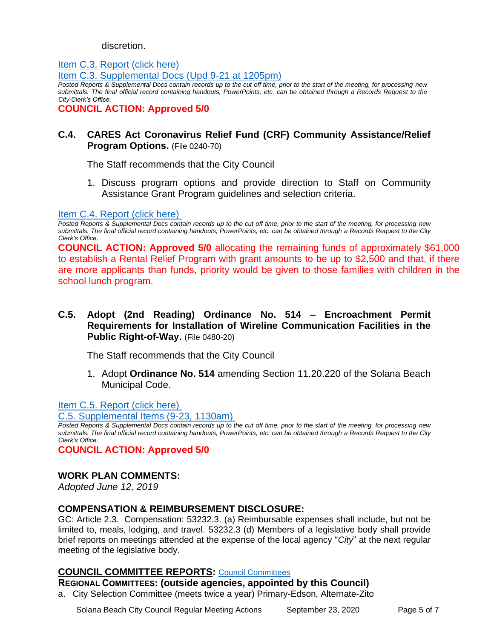#### discretion.

[Item C.3. Report \(click here\)](https://solanabeach.govoffice3.com/vertical/Sites/%7B840804C2-F869-4904-9AE3-720581350CE7%7D/uploads/Item_C.3._Report_(click_here)_09-23-20_O.pdf)  [Item C.3. Supplemental Docs \(Upd 9-21 at 1205pm\)](https://solanabeach.govoffice3.com/vertical/Sites/%7B840804C2-F869-4904-9AE3-720581350CE7%7D/uploads/Item_C.3._Supplemental_Docs_(Upd_9-21_at_1205pm)(1).pdf)

*Posted Reports & Supplemental Docs contain records up to the cut off time, prior to the start of the meeting, for processing new submittals. The final official record containing handouts, PowerPoints, etc. can be obtained through a Records Request to the City Clerk's Office.*

**COUNCIL ACTION: Approved 5/0**

# **C.4. CARES Act Coronavirus Relief Fund (CRF) Community Assistance/Relief Program Options.** (File 0240-70)

The Staff recommends that the City Council

1. Discuss program options and provide direction to Staff on Community Assistance Grant Program guidelines and selection criteria.

#### [Item C.4. Report \(click here\)](https://solanabeach.govoffice3.com/vertical/Sites/%7B840804C2-F869-4904-9AE3-720581350CE7%7D/uploads/Item_C.4._Report_(click_here)_09-23-20_O.pdf)

*Posted Reports & Supplemental Docs contain records up to the cut off time, prior to the start of the meeting, for processing new submittals. The final official record containing handouts, PowerPoints, etc. can be obtained through a Records Request to the City Clerk's Office.*

**COUNCIL ACTION: Approved 5/0** allocating the remaining funds of approximately \$61,000 to establish a Rental Relief Program with grant amounts to be up to \$2,500 and that, if there are more applicants than funds, priority would be given to those families with children in the school lunch program.

**C.5. Adopt (2nd Reading) Ordinance No. 514 – Encroachment Permit Requirements for Installation of Wireline Communication Facilities in the Public Right-of-Way.** (File 0480-20)

The Staff recommends that the City Council

1. Adopt **Ordinance No. 514** amending Section 11.20.220 of the Solana Beach Municipal Code.

[Item C.5. Report](https://solanabeach.govoffice3.com/vertical/Sites/%7B840804C2-F869-4904-9AE3-720581350CE7%7D/uploads/Item_C.5._Report_(click_here)_09-23-20_O.pdf) (click here)

[C.5. Supplemental Items \(9-23, 1130am\)](https://solanabeach.govoffice3.com/vertical/Sites/%7B840804C2-F869-4904-9AE3-720581350CE7%7D/uploads/C.5._-_Supplemental_Items_(9-23_1130am).pdf) 

*Posted Reports & Supplemental Docs contain records up to the cut off time, prior to the start of the meeting, for processing new submittals. The final official record containing handouts, PowerPoints, etc. can be obtained through a Records Request to the City Clerk's Office.*

**COUNCIL ACTION: Approved 5/0**

# **WORK PLAN COMMENTS:**

*Adopted June 12, 2019*

# **COMPENSATION & REIMBURSEMENT DISCLOSURE:**

GC: Article 2.3. Compensation: 53232.3. (a) Reimbursable expenses shall include, but not be limited to, meals, lodging, and travel. 53232.3 (d) Members of a legislative body shall provide brief reports on meetings attended at the expense of the local agency "*City*" at the next regular meeting of the legislative body.

# **COUNCIL COMMITTEE REPORTS:** [Council Committees](https://www.ci.solana-beach.ca.us/index.asp?SEC=584E1192-3850-46EA-B977-088AC3E81E0D&Type=B_BASIC)

**REGIONAL COMMITTEES: (outside agencies, appointed by this Council)**

a. City Selection Committee (meets twice a year) Primary-Edson, Alternate-Zito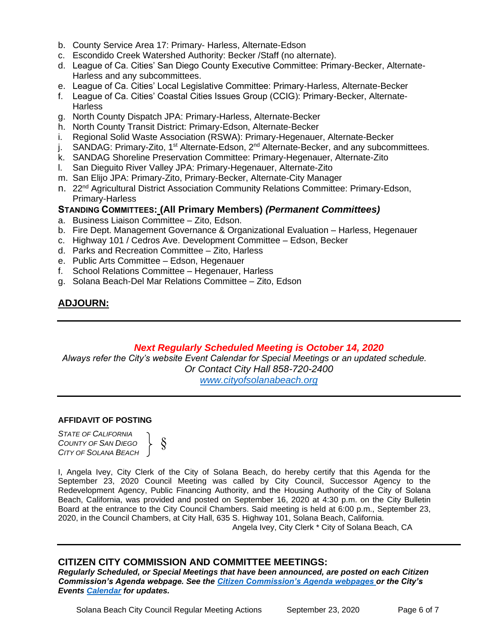- b. County Service Area 17: Primary- Harless, Alternate-Edson
- c. Escondido Creek Watershed Authority: Becker /Staff (no alternate).
- d. League of Ca. Cities' San Diego County Executive Committee: Primary-Becker, Alternate-Harless and any subcommittees.
- e. League of Ca. Cities' Local Legislative Committee: Primary-Harless, Alternate-Becker
- f. League of Ca. Cities' Coastal Cities Issues Group (CCIG): Primary-Becker, Alternate-**Harless**
- g. North County Dispatch JPA: Primary-Harless, Alternate-Becker
- h. North County Transit District: Primary-Edson, Alternate-Becker
- i. Regional Solid Waste Association (RSWA): Primary-Hegenauer, Alternate-Becker
- j. SANDAG: Primary-Zito, 1<sup>st</sup> Alternate-Edson, 2<sup>nd</sup> Alternate-Becker, and any subcommittees.
- k. SANDAG Shoreline Preservation Committee: Primary-Hegenauer, Alternate-Zito
- l. San Dieguito River Valley JPA: Primary-Hegenauer, Alternate-Zito
- m. San Elijo JPA: Primary-Zito, Primary-Becker, Alternate-City Manager
- n. 22<sup>nd</sup> Agricultural District Association Community Relations Committee: Primary-Edson, Primary-Harless

# **STANDING COMMITTEES: (All Primary Members)** *(Permanent Committees)*

- a. Business Liaison Committee Zito, Edson.
- b. Fire Dept. Management Governance & Organizational Evaluation Harless, Hegenauer
- c. Highway 101 / Cedros Ave. Development Committee Edson, Becker
- d. Parks and Recreation Committee Zito, Harless
- e. Public Arts Committee Edson, Hegenauer
- f. School Relations Committee Hegenauer, Harless
- g. Solana Beach-Del Mar Relations Committee Zito, Edson

# **ADJOURN:**

# *Next Regularly Scheduled Meeting is October 14, 2020*

*Always refer the City's website Event Calendar for Special Meetings or an updated schedule. Or Contact City Hall 858-720-2400*

*[www.cityofsolanabeach.org](http://www.cityofsolanabeach.org/)* 

#### **AFFIDAVIT OF POSTING**

*STATE OF CALIFORNIA COUNTY OF SAN DIEGO CITY OF SOLANA BEACH*



I, Angela Ivey, City Clerk of the City of Solana Beach, do hereby certify that this Agenda for the September 23, 2020 Council Meeting was called by City Council, Successor Agency to the Redevelopment Agency, Public Financing Authority, and the Housing Authority of the City of Solana Beach, California, was provided and posted on September 16, 2020 at 4:30 p.m. on the City Bulletin Board at the entrance to the City Council Chambers. Said meeting is held at 6:00 p.m., September 23, 2020, in the Council Chambers, at City Hall, 635 S. Highway 101, Solana Beach, California.

Angela Ivey, City Clerk \* City of Solana Beach, CA

# **CITIZEN CITY COMMISSION AND COMMITTEE MEETINGS:**

*Regularly Scheduled, or Special Meetings that have been announced, are posted on each Citizen Commission's Agenda webpage. See the [Citizen Commission's Agenda webpages o](https://www.ci.solana-beach.ca.us/index.asp?SEC=3302C065-5C8A-43D2-88C2-F03C61D1DA2A&Type=B_BASIC)r the City's Events [Calendar](https://www.ci.solana-beach.ca.us/index.asp?SEC=FA26EC83-8D1C-4941-A3B2-20CA81EDCDDE&Type=B_EV) for updates.*